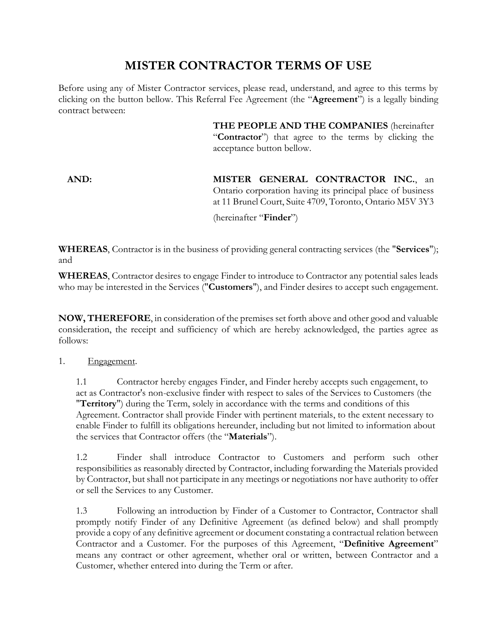## **MISTER CONTRACTOR TERMS OF USE**

Before using any of Mister Contractor services, please read, understand, and agree to this terms by clicking on the button bellow. This Referral Fee Agreement (the "**Agreement**") is a legally binding contract between:

> **THE PEOPLE AND THE COMPANIES** (hereinafter "**Contractor**") that agree to the terms by clicking the acceptance button bellow.

**AND: MISTER GENERAL CONTRACTOR INC.**, an Ontario corporation having its principal place of business at 11 Brunel Court, Suite 4709, Toronto, Ontario M5V 3Y3 (hereinafter "**Finder**")

**WHEREAS**, Contractor is in the business of providing general contracting services (the "**Services**"); and

**WHEREAS**, Contractor desires to engage Finder to introduce to Contractor any potential sales leads who may be interested in the Services ("**Customers**"), and Finder desires to accept such engagement.

**NOW, THEREFORE**, in consideration of the premises set forth above and other good and valuable consideration, the receipt and sufficiency of which are hereby acknowledged, the parties agree as follows:

## 1. Engagement.

1.1 Contractor hereby engages Finder, and Finder hereby accepts such engagement, to act as Contractor's non-exclusive finder with respect to sales of the Services to Customers (the "**Territory**") during the Term, solely in accordance with the terms and conditions of this Agreement. Contractor shall provide Finder with pertinent materials, to the extent necessary to enable Finder to fulfill its obligations hereunder, including but not limited to information about the services that Contractor offers (the "**Materials**").

1.2 Finder shall introduce Contractor to Customers and perform such other responsibilities as reasonably directed by Contractor, including forwarding the Materials provided by Contractor, but shall not participate in any meetings or negotiations nor have authority to offer or sell the Services to any Customer.

1.3 Following an introduction by Finder of a Customer to Contractor, Contractor shall promptly notify Finder of any Definitive Agreement (as defined below) and shall promptly provide a copy of any definitive agreement or document constating a contractual relation between Contractor and a Customer. For the purposes of this Agreement, "**Definitive Agreement**" means any contract or other agreement, whether oral or written, between Contractor and a Customer, whether entered into during the Term or after.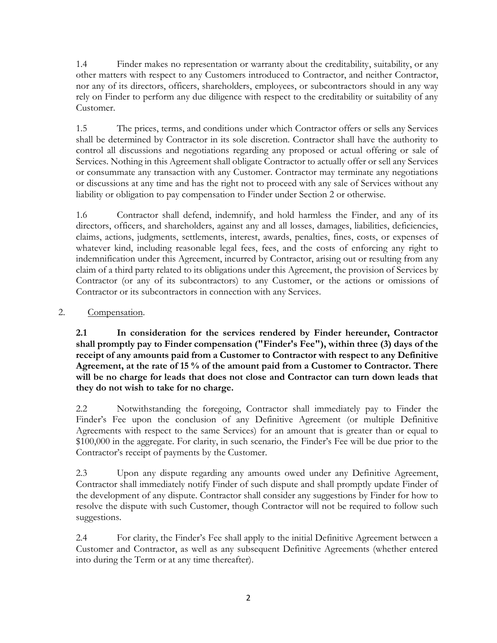1.4 Finder makes no representation or warranty about the creditability, suitability, or any other matters with respect to any Customers introduced to Contractor, and neither Contractor, nor any of its directors, officers, shareholders, employees, or subcontractors should in any way rely on Finder to perform any due diligence with respect to the creditability or suitability of any Customer.

1.5 The prices, terms, and conditions under which Contractor offers or sells any Services shall be determined by Contractor in its sole discretion. Contractor shall have the authority to control all discussions and negotiations regarding any proposed or actual offering or sale of Services. Nothing in this Agreement shall obligate Contractor to actually offer or sell any Services or consummate any transaction with any Customer. Contractor may terminate any negotiations or discussions at any time and has the right not to proceed with any sale of Services without any liability or obligation to pay compensation to Finder under [Section 2](#page-1-0) or otherwise.

1.6 Contractor shall defend, indemnify, and hold harmless the Finder, and any of its directors, officers, and shareholders, against any and all losses, damages, liabilities, deficiencies, claims, actions, judgments, settlements, interest, awards, penalties, fines, costs, or expenses of whatever kind, including reasonable legal fees, fees, and the costs of enforcing any right to indemnification under this Agreement, incurred by Contractor, arising out or resulting from any claim of a third party related to its obligations under this Agreement, the provision of Services by Contractor (or any of its subcontractors) to any Customer, or the actions or omissions of Contractor or its subcontractors in connection with any Services.

<span id="page-1-0"></span>2. Compensation.

**2.1 In consideration for the services rendered by Finder hereunder, Contractor shall promptly pay to Finder compensation ("Finder's Fee"), within three (3) days of the receipt of any amounts paid from a Customer to Contractor with respect to any Definitive Agreement, at the rate of 15 % of the amount paid from a Customer to Contractor. There will be no charge for leads that does not close and Contractor can turn down leads that they do not wish to take for no charge.** 

2.2 Notwithstanding the foregoing, Contractor shall immediately pay to Finder the Finder's Fee upon the conclusion of any Definitive Agreement (or multiple Definitive Agreements with respect to the same Services) for an amount that is greater than or equal to \$100,000 in the aggregate. For clarity, in such scenario, the Finder's Fee will be due prior to the Contractor's receipt of payments by the Customer.

2.3 Upon any dispute regarding any amounts owed under any Definitive Agreement, Contractor shall immediately notify Finder of such dispute and shall promptly update Finder of the development of any dispute. Contractor shall consider any suggestions by Finder for how to resolve the dispute with such Customer, though Contractor will not be required to follow such suggestions.

2.4 For clarity, the Finder's Fee shall apply to the initial Definitive Agreement between a Customer and Contractor, as well as any subsequent Definitive Agreements (whether entered into during the Term or at any time thereafter).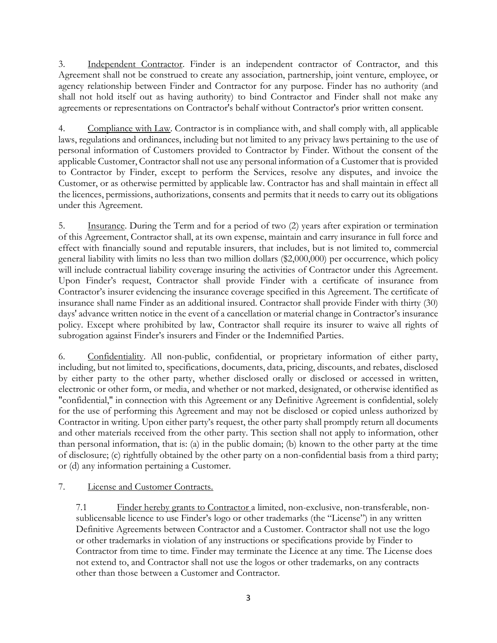3. Independent Contractor. Finder is an independent contractor of Contractor, and this Agreement shall not be construed to create any association, partnership, joint venture, employee, or agency relationship between Finder and Contractor for any purpose. Finder has no authority (and shall not hold itself out as having authority) to bind Contractor and Finder shall not make any agreements or representations on Contractor's behalf without Contractor's prior written consent.

4. Compliance with Law. Contractor is in compliance with, and shall comply with, all applicable laws, regulations and ordinances, including but not limited to any privacy laws pertaining to the use of personal information of Customers provided to Contractor by Finder. Without the consent of the applicable Customer, Contractor shall not use any personal information of a Customer that is provided to Contractor by Finder, except to perform the Services, resolve any disputes, and invoice the Customer, or as otherwise permitted by applicable law. Contractor has and shall maintain in effect all the licences, permissions, authorizations, consents and permits that it needs to carry out its obligations under this Agreement.

5. Insurance. During the Term and for a period of two (2) years after expiration or termination of this Agreement, Contractor shall, at its own expense, maintain and carry insurance in full force and effect with financially sound and reputable insurers, that includes, but is not limited to, commercial general liability with limits no less than two million dollars (\$2,000,000) per occurrence, which policy will include contractual liability coverage insuring the activities of Contractor under this Agreement. Upon Finder's request, Contractor shall provide Finder with a certificate of insurance from Contractor's insurer evidencing the insurance coverage specified in this Agreement. The certificate of insurance shall name Finder as an additional insured. Contractor shall provide Finder with thirty (30) days' advance written notice in the event of a cancellation or material change in Contractor's insurance policy. Except where prohibited by law, Contractor shall require its insurer to waive all rights of subrogation against Finder's insurers and Finder or the Indemnified Parties.

6. Confidentiality. All non-public, confidential, or proprietary information of either party, including, but not limited to, specifications, documents, data, pricing, discounts, and rebates, disclosed by either party to the other party, whether disclosed orally or disclosed or accessed in written, electronic or other form, or media, and whether or not marked, designated, or otherwise identified as "confidential," in connection with this Agreement or any Definitive Agreement is confidential, solely for the use of performing this Agreement and may not be disclosed or copied unless authorized by Contractor in writing. Upon either party's request, the other party shall promptly return all documents and other materials received from the other party. This section shall not apply to information, other than personal information, that is: (a) in the public domain; (b) known to the other party at the time of disclosure; (c) rightfully obtained by the other party on a non-confidential basis from a third party; or (d) any information pertaining a Customer.

## 7. License and Customer Contracts.

7.1 Finder hereby grants to Contractor a limited, non-exclusive, non-transferable, nonsublicensable licence to use Finder's logo or other trademarks (the "License") in any written Definitive Agreements between Contractor and a Customer. Contractor shall not use the logo or other trademarks in violation of any instructions or specifications provide by Finder to Contractor from time to time. Finder may terminate the Licence at any time. The License does not extend to, and Contractor shall not use the logos or other trademarks, on any contracts other than those between a Customer and Contractor.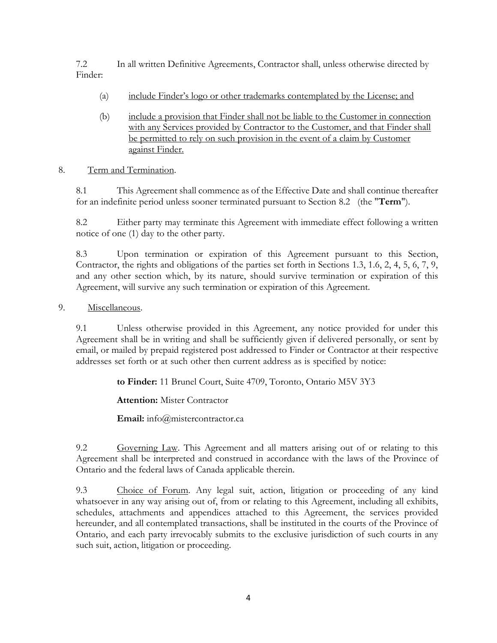7.2 In all written Definitive Agreements, Contractor shall, unless otherwise directed by Finder:

- (a) include Finder's logo or other trademarks contemplated by the License; and
- (b) include a provision that Finder shall not be liable to the Customer in connection with any Services provided by Contractor to the Customer, and that Finder shall be permitted to rely on such provision in the event of a claim by Customer against Finder.

## 8. Term and Termination.

8.1 This Agreement shall commence as of the Effective Date and shall continue thereafter for an indefinite period unless sooner terminated pursuant to Section [8.2 \(](#page-3-0)the "**Term**").

<span id="page-3-0"></span>8.2 Either party may terminate this Agreement with immediate effect following a written notice of one (1) day to the other party.

8.3 Upon termination or expiration of this Agreement pursuant to this Section, Contractor, the rights and obligations of the parties set forth in Sections 1.3, 1.6, 2, 4, 5, 6, 7, 9, and any other section which, by its nature, should survive termination or expiration of this Agreement, will survive any such termination or expiration of this Agreement.

9. Miscellaneous.

9.1 Unless otherwise provided in this Agreement, any notice provided for under this Agreement shall be in writing and shall be sufficiently given if delivered personally, or sent by email, or mailed by prepaid registered post addressed to Finder or Contractor at their respective addresses set forth or at such other then current address as is specified by notice:

**to Finder:** 11 Brunel Court, Suite 4709, Toronto, Ontario M5V 3Y3

**Attention:** Mister Contractor

**Email:** info@mistercontractor.ca

9.2 Governing Law. This Agreement and all matters arising out of or relating to this Agreement shall be interpreted and construed in accordance with the laws of the Province of Ontario and the federal laws of Canada applicable therein.

9.3 Choice of Forum. Any legal suit, action, litigation or proceeding of any kind whatsoever in any way arising out of, from or relating to this Agreement, including all exhibits, schedules, attachments and appendices attached to this Agreement, the services provided hereunder, and all contemplated transactions, shall be instituted in the courts of the Province of Ontario, and each party irrevocably submits to the exclusive jurisdiction of such courts in any such suit, action, litigation or proceeding.